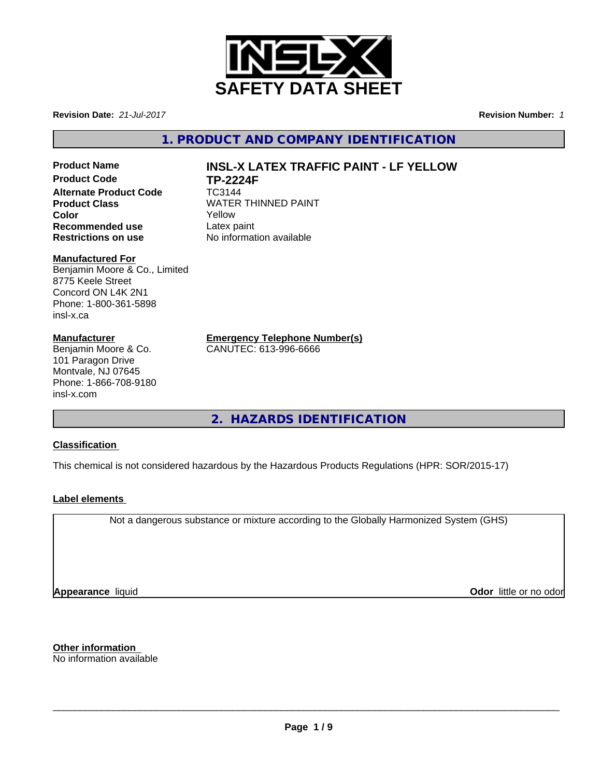

**Revision Date:** *21-Jul-2017* **Revision Number:** *1*

**1. PRODUCT AND COMPANY IDENTIFICATION**

**Product Name INSL-X LATEX TRAFFIC PAINT - LF YELLOW Product Code TP-2224F Alternate Product Code** TC3144 **Product Class WATER THINNED PAINT Color** Yellow **Recommended use** Latex paint<br> **Restrictions on use** No informat

**No information available** 

# **Manufactured For**

Benjamin Moore & Co., Limited 8775 Keele Street Concord ON L4K 2N1 Phone: 1-800-361-5898 insl-x.ca

# **Manufacturer**

Benjamin Moore & Co. 101 Paragon Drive Montvale, NJ 07645 Phone: 1-866-708-9180 insl-x.com

**Emergency Telephone Number(s)**

CANUTEC: 613-996-6666

**2. HAZARDS IDENTIFICATION**

# **Classification**

This chemical is not considered hazardous by the Hazardous Products Regulations (HPR: SOR/2015-17)

# **Label elements**

Not a dangerous substance or mixture according to the Globally Harmonized System (GHS)

**Appearance** liquid **Contract Contract Contract Contract Contract Contract Contract Contract Contract Contract Contract Contract Contract Contract Contract Contract Contract Contract Contract Contract Contract Contract Con** 

**Other information** No information available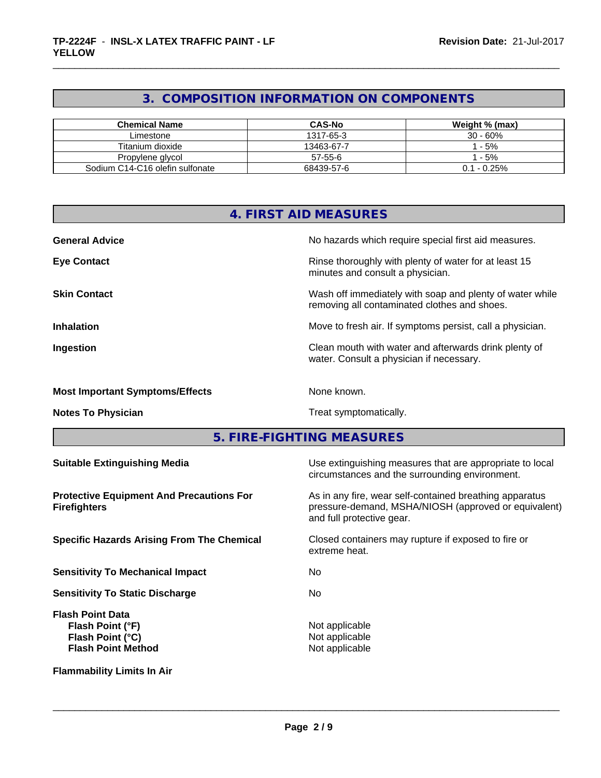# **3. COMPOSITION INFORMATION ON COMPONENTS**

| <b>Chemical Name</b>            | <b>CAS-No</b> | Weight % (max) |
|---------------------------------|---------------|----------------|
| Limestone                       | 1317-65-3     | 30 - 60%       |
| Titanium dioxide                | 13463-67-7    | $-5%$          |
| Propylene glycol                | 57-55-6       | - 5%           |
| Sodium C14-C16 olefin sulfonate | 68439-57-6    | $0.1 - 0.25\%$ |

|                                                 | 4. FIRST AID MEASURES                                                                                      |
|-------------------------------------------------|------------------------------------------------------------------------------------------------------------|
|                                                 |                                                                                                            |
| <b>General Advice</b>                           | No hazards which require special first aid measures.                                                       |
| <b>Eye Contact</b>                              | Rinse thoroughly with plenty of water for at least 15<br>minutes and consult a physician.                  |
| <b>Skin Contact</b>                             | Wash off immediately with soap and plenty of water while<br>removing all contaminated clothes and shoes.   |
| <b>Inhalation</b>                               | Move to fresh air. If symptoms persist, call a physician.                                                  |
| Ingestion                                       | Clean mouth with water and afterwards drink plenty of<br>water. Consult a physician if necessary.          |
| <b>Most Important Symptoms/Effects</b>          | None known.                                                                                                |
| <b>Notes To Physician</b>                       | Treat symptomatically.                                                                                     |
|                                                 | 5. FIRE-FIGHTING MEASURES                                                                                  |
| <b>Suitable Extinguishing Media</b>             | Use extinguishing measures that are appropriate to local<br>circumstances and the surrounding environment. |
| <b>Protective Equipment And Precautions For</b> | As in any fire, wear self-contained breathing apparatus                                                    |

**Firefighters**

**Sensitivity To Mechanical Impact** No

**Sensitivity To Static Discharge** No

**Flash Point Data Flash Point (°F)** Not applicable **Flash Point (°C)** Not applicable **Flash Point Method** Not applicable Not applicable

**Flammability Limits In Air**

pressure-demand, MSHA/NIOSH (approved or equivalent) and full protective gear.

**Specific Hazards Arising From The Chemical Closed containers may rupture if exposed to fire or** extreme heat.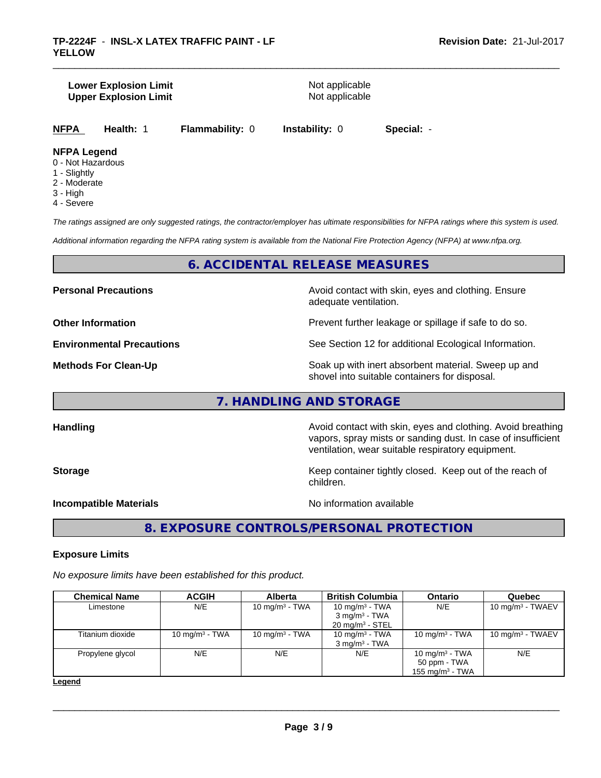### **Lower Explosion Limit**<br> **Upper Explosion Limit**<br> **Upper Explosion Limit Upper Explosion Limit**

**NFPA Health:** 1 **Flammability:** 0 **Instability:** 0 **Special:** -

# **NFPA Legend**

- 0 Not Hazardous
- 1 Slightly
- 2 Moderate
- 3 High
- 4 Severe

*The ratings assigned are only suggested ratings, the contractor/employer has ultimate responsibilities for NFPA ratings where this system is used.*

*Additional information regarding the NFPA rating system is available from the National Fire Protection Agency (NFPA) at www.nfpa.org.*

# **6. ACCIDENTAL RELEASE MEASURES**

**Personal Precautions Precautions** Avoid contact with skin, eyes and clothing. Ensure adequate ventilation.

**Other Information Discription Prevent further leakage or spillage if safe to do so.** 

**Environmental Precautions** See Section 12 for additional Ecological Information.

**Methods For Clean-Up Example 20 All 20 All 20 All 20 Soak** up with inert absorbent material. Sweep up and shovel into suitable containers for disposal.

vapors, spray mists or sanding dust. In case of insufficient

ventilation, wear suitable respiratory equipment.

# **7. HANDLING AND STORAGE**

**Handling Handling Avoid contact with skin, eyes and clothing. Avoid breathing** 

**Storage Keep container tightly closed. Keep out of the reach of Keep** container tightly closed. Keep out of the reach of

**Incompatible Materials** Noinformation available

 $\overline{\phantom{a}}$  ,  $\overline{\phantom{a}}$  ,  $\overline{\phantom{a}}$  ,  $\overline{\phantom{a}}$  ,  $\overline{\phantom{a}}$  ,  $\overline{\phantom{a}}$  ,  $\overline{\phantom{a}}$  ,  $\overline{\phantom{a}}$  ,  $\overline{\phantom{a}}$  ,  $\overline{\phantom{a}}$  ,  $\overline{\phantom{a}}$  ,  $\overline{\phantom{a}}$  ,  $\overline{\phantom{a}}$  ,  $\overline{\phantom{a}}$  ,  $\overline{\phantom{a}}$  ,  $\overline{\phantom{a}}$ 

**8. EXPOSURE CONTROLS/PERSONAL PROTECTION**

children.

# **Exposure Limits**

*No exposure limits have been established for this product.*

| <b>Chemical Name</b> | <b>ACGIH</b>      | <b>Alberta</b>    | <b>British Columbia</b>    | <b>Ontario</b>     | <b>Quebec</b>       |
|----------------------|-------------------|-------------------|----------------------------|--------------------|---------------------|
| Limestone            | N/E               | 10 mg/m $3$ - TWA | 10 mg/m $3$ - TWA          | N/E                | 10 mg/m $3$ - TWAEV |
|                      |                   |                   | $3 \text{ mg/m}^3$ - TWA   |                    |                     |
|                      |                   |                   | $20 \text{ mg/m}^3$ - STEL |                    |                     |
| Titanium dioxide     | 10 mg/m $3$ - TWA | 10 mg/m $3$ - TWA | 10 mg/m <sup>3</sup> - TWA | 10 mg/m $3$ - TWA  | 10 mg/m $3$ - TWAEV |
|                      |                   |                   | $3 \text{ mg/m}^3$ - TWA   |                    |                     |
| Propylene glycol     | N/E               | N/E               | N/E                        | 10 mg/m $3$ - TWA  | N/E                 |
|                      |                   |                   |                            | 50 ppm - TWA       |                     |
|                      |                   |                   |                            | 155 mg/m $3$ - TWA |                     |

**Legend**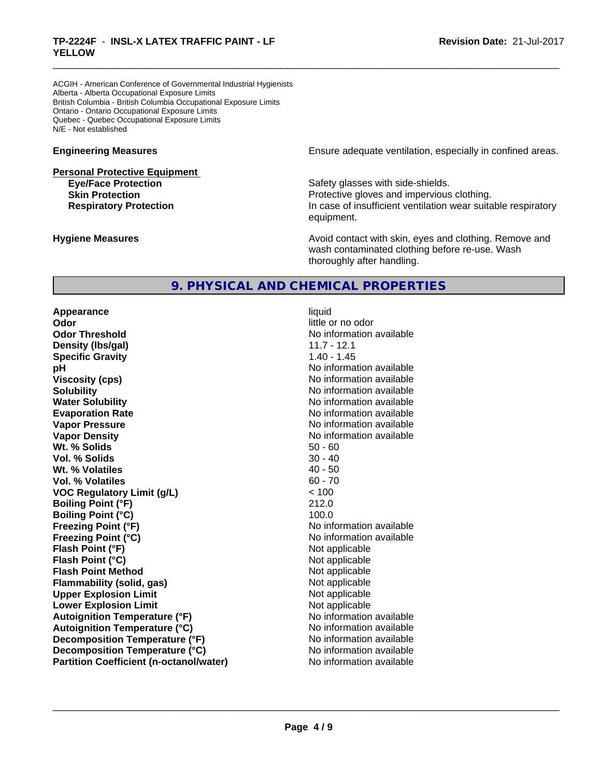# \_\_\_\_\_\_\_\_\_\_\_\_\_\_\_\_\_\_\_\_\_\_\_\_\_\_\_\_\_\_\_\_\_\_\_\_\_\_\_\_\_\_\_\_\_\_\_\_\_\_\_\_\_\_\_\_\_\_\_\_\_\_\_\_\_\_\_\_\_\_\_\_\_\_\_\_\_\_\_\_\_\_\_\_\_\_\_\_\_\_\_\_\_ **TP-2224F** - **INSL-X LATEX TRAFFIC PAINT - LF YELLOW**

ACGIH - American Conference of Governmental Industrial Hygienists Alberta - Alberta Occupational Exposure Limits British Columbia - British Columbia Occupational Exposure Limits Ontario - Ontario Occupational Exposure Limits Quebec - Quebec Occupational Exposure Limits N/E - Not established

**Personal Protective Equipment**

**Engineering Measures Engineering Measures Engineering Measures Ensure adequate ventilation, especially in confined areas.** 

**Eye/Face Protection Safety glasses with side-shields. Skin Protection Protection Protective gloves and impervious clothing. Respiratory Protection In case of insufficient ventilation wear suitable respiratory** equipment.

**Hygiene Measures Avoid contact with skin, eyes and clothing. Remove and Avoid contact with skin, eyes and clothing. Remove and Avoid contact with skin, eyes and clothing. Remove and** wash contaminated clothing before re-use. Wash thoroughly after handling.

# **9. PHYSICAL AND CHEMICAL PROPERTIES**

**Appearance** liquid **Odor** little or no odor **Odor Threshold** No information available **Density (Ibs/gal)** 11.7 - 12.1<br> **Specific Gravity** 1.40 - 1.45 **Specific Gravity pH pH**  $\blacksquare$ **Viscosity (cps)** No information available **Solubility No information available No information available Water Solubility No information available No information available Evaporation Rate No information available No information available Vapor Pressure** No information available No information available **Vapor Density No information available** No information available **Wt. % Solids** 50 - 60 **Vol. % Solids** 30 - 40 **Wt. % Volatiles** 40 - 50 **Vol. % Volatiles** 60 - 70 **VOC Regulatory Limit (g/L)** < 100 **Boiling Point (°F)** 212.0 **Boiling Point (°C)** 100.0 **Freezing Point (°F)** And The Monometer of the Monometer And Noinformation available **Freezing Point (°C)** The Company of the Monometer of Noinformation available **Flash Point (°F)** Not applicable **Flash Point (°C)** Not applicable **Flash Point Method**<br> **Flammability (solid, gas)** Not applicable Not applicable **Flammability** (solid, gas) **Upper Explosion Limit**<br> **Lower Explosion Limit**<br> **Lower Explosion Limit Lower Explosion Limit**<br> **Autoignition Temperature (°F)**<br> **Autoignition Temperature (°F)**<br> **Notation available Autoignition Temperature (°F) Autoignition Temperature (°C)** No information available **Decomposition Temperature (°F)** No information available **Decomposition Temperature (°C)** No information available **Partition Coefficient (n-octanol/water)** No information available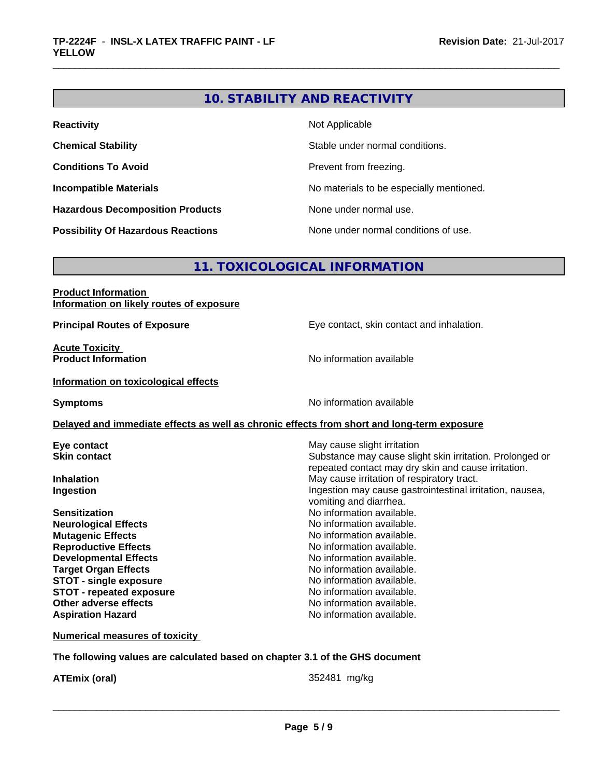# **10. STABILITY AND REACTIVITY**

| <b>Reactivity</b>                         | Not Applicable                           |
|-------------------------------------------|------------------------------------------|
| <b>Chemical Stability</b>                 | Stable under normal conditions.          |
| <b>Conditions To Avoid</b>                | Prevent from freezing.                   |
| <b>Incompatible Materials</b>             | No materials to be especially mentioned. |
| <b>Hazardous Decomposition Products</b>   | None under normal use.                   |
| <b>Possibility Of Hazardous Reactions</b> | None under normal conditions of use.     |

# **11. TOXICOLOGICAL INFORMATION**

| <b>Product Information</b>               |  |
|------------------------------------------|--|
| Information on likely routes of exposure |  |

**Acute Toxicity<br>Product Information** 

**Principal Routes of Exposure** Eye contact, skin contact and inhalation.

**No information available** 

#### **Information on toxicological effects**

**Symptoms** No information available

# **Delayed and immediate effects as well as chronic effects from short and long-term exposure**

| Eye contact                     | May cause slight irritation                              |
|---------------------------------|----------------------------------------------------------|
| <b>Skin contact</b>             | Substance may cause slight skin irritation. Prolonged or |
|                                 | repeated contact may dry skin and cause irritation.      |
| <b>Inhalation</b>               | May cause irritation of respiratory tract.               |
| Ingestion                       | Ingestion may cause gastrointestinal irritation, nausea, |
|                                 | vomiting and diarrhea.                                   |
| <b>Sensitization</b>            | No information available.                                |
| <b>Neurological Effects</b>     | No information available.                                |
| <b>Mutagenic Effects</b>        | No information available.                                |
| <b>Reproductive Effects</b>     | No information available.                                |
| <b>Developmental Effects</b>    | No information available.                                |
| <b>Target Organ Effects</b>     | No information available.                                |
| <b>STOT - single exposure</b>   | No information available.                                |
| <b>STOT - repeated exposure</b> | No information available.                                |
| Other adverse effects           | No information available.                                |
| <b>Aspiration Hazard</b>        | No information available.                                |

# **Numerical measures of toxicity**

**The following values are calculated based on chapter 3.1 of the GHS document**

**ATEmix (oral)** 352481 mg/kg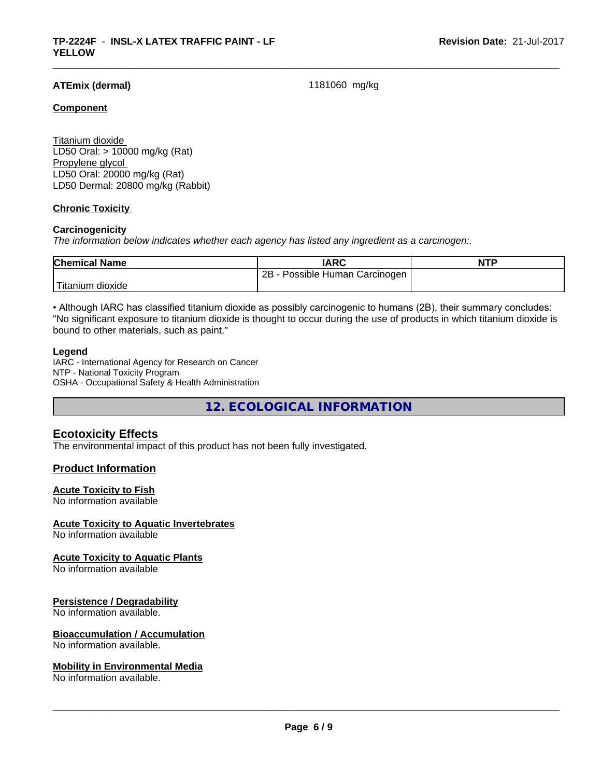# **ATEmix (dermal)** 1181060 mg/kg

# **Component**

Titanium dioxide LD50 Oral: > 10000 mg/kg (Rat) Propylene glycol LD50 Oral: 20000 mg/kg (Rat) LD50 Dermal: 20800 mg/kg (Rabbit)

# **Chronic Toxicity**

#### **Carcinogenicity**

*The information below indicateswhether each agency has listed any ingredient as a carcinogen:.*

| <b>Chemical Name</b> | <b>IARC</b>                     | <b>NTP</b> |
|----------------------|---------------------------------|------------|
|                      | 2B<br>Possible Human Carcinogen |            |
| 'Titanium<br>dioxide |                                 |            |

• Although IARC has classified titanium dioxide as possibly carcinogenic to humans (2B), their summary concludes: "No significant exposure to titanium dioxide is thought to occur during the use of products in which titanium dioxide is bound to other materials, such as paint."

#### **Legend**

IARC - International Agency for Research on Cancer NTP - National Toxicity Program OSHA - Occupational Safety & Health Administration

**12. ECOLOGICAL INFORMATION**

# **Ecotoxicity Effects**

The environmental impact of this product has not been fully investigated.

# **Product Information**

#### **Acute Toxicity to Fish**

No information available

# **Acute Toxicity to Aquatic Invertebrates**

No information available

#### **Acute Toxicity to Aquatic Plants**

No information available

#### **Persistence / Degradability**

No information available.

# **Bioaccumulation / Accumulation**

No information available.

### **Mobility in Environmental Media**

No information available.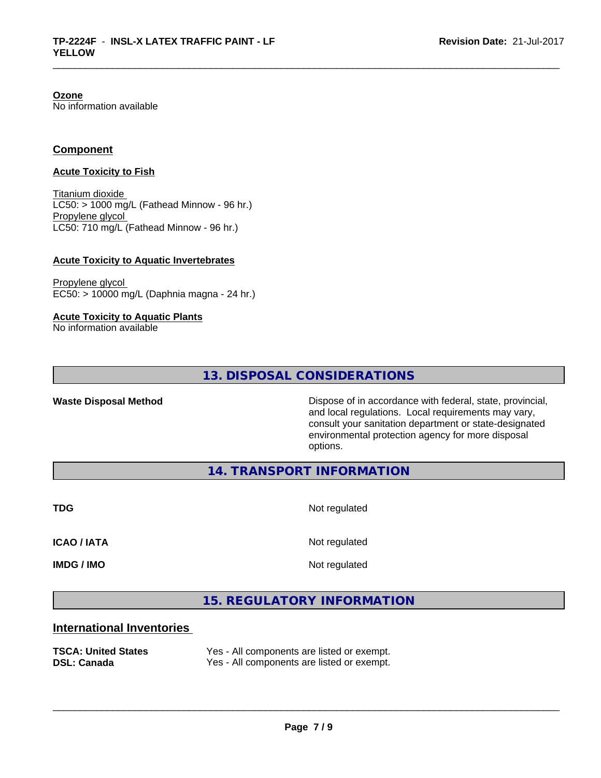# **Ozone**

No information available

# **Component**

### **Acute Toxicity to Fish**

Titanium dioxide  $LC50:$  > 1000 mg/L (Fathead Minnow - 96 hr.) Propylene glycol LC50: 710 mg/L (Fathead Minnow - 96 hr.)

# **Acute Toxicity to Aquatic Invertebrates**

Propylene glycol EC50: > 10000 mg/L (Daphnia magna - 24 hr.)

**Acute Toxicity to Aquatic Plants**

No information available

**13. DISPOSAL CONSIDERATIONS**

**Waste Disposal Method** Dispose of in accordance with federal, state, provincial, and local regulations. Local requirements may vary, consult your sanitation department or state-designated environmental protection agency for more disposal options.

**14. TRANSPORT INFORMATION**

**TDG** Not regulated

**ICAO / IATA** Not regulated

**IMDG / IMO** Not regulated

 $\overline{\phantom{a}}$  ,  $\overline{\phantom{a}}$  ,  $\overline{\phantom{a}}$  ,  $\overline{\phantom{a}}$  ,  $\overline{\phantom{a}}$  ,  $\overline{\phantom{a}}$  ,  $\overline{\phantom{a}}$  ,  $\overline{\phantom{a}}$  ,  $\overline{\phantom{a}}$  ,  $\overline{\phantom{a}}$  ,  $\overline{\phantom{a}}$  ,  $\overline{\phantom{a}}$  ,  $\overline{\phantom{a}}$  ,  $\overline{\phantom{a}}$  ,  $\overline{\phantom{a}}$  ,  $\overline{\phantom{a}}$ 

**15. REGULATORY INFORMATION**

# **International Inventories**

**TSCA: United States** Yes - All components are listed or exempt. **DSL: Canada** Yes - All components are listed or exempt.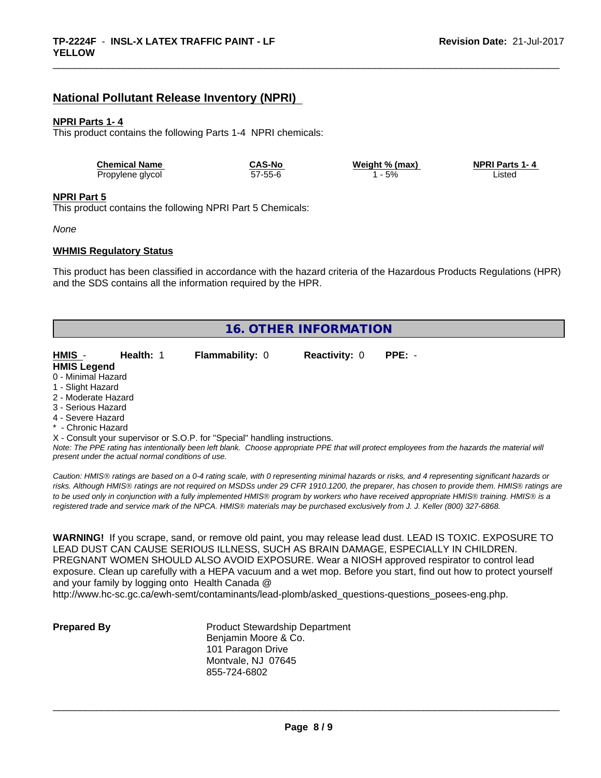# **National Pollutant Release Inventory (NPRI)**

### **NPRI Parts 1- 4**

This product contains the following Parts 1-4 NPRI chemicals:

| <b>Chemical Name</b> | <b>CAS-No</b> | Weight % (max) | <b>NPRI Parts 1-4</b> |  |
|----------------------|---------------|----------------|-----------------------|--|
| Propylene glycol     | 57-55-6       | 5%             | .isted                |  |

#### **NPRI Part 5**

This product contains the following NPRI Part 5 Chemicals:

*None*

#### **WHMIS Regulatory Status**

This product has been classified in accordance with the hazard criteria of the Hazardous Products Regulations (HPR) and the SDS contains all the information required by the HPR.

| 16. OTHER INFORMATION |                                                    |                                                                            |                      |                                                                                                                                               |
|-----------------------|----------------------------------------------------|----------------------------------------------------------------------------|----------------------|-----------------------------------------------------------------------------------------------------------------------------------------------|
|                       |                                                    |                                                                            |                      |                                                                                                                                               |
| HMIS -                | Health: 1                                          | <b>Flammability: 0</b>                                                     | <b>Reactivity: 0</b> | $PPE: -$                                                                                                                                      |
| <b>HMIS Legend</b>    |                                                    |                                                                            |                      |                                                                                                                                               |
| 0 - Minimal Hazard    |                                                    |                                                                            |                      |                                                                                                                                               |
| 1 - Slight Hazard     |                                                    |                                                                            |                      |                                                                                                                                               |
| 2 - Moderate Hazard   |                                                    |                                                                            |                      |                                                                                                                                               |
| 3 - Serious Hazard    |                                                    |                                                                            |                      |                                                                                                                                               |
| 4 - Severe Hazard     |                                                    |                                                                            |                      |                                                                                                                                               |
| * - Chronic Hazard    |                                                    |                                                                            |                      |                                                                                                                                               |
|                       |                                                    | X - Consult your supervisor or S.O.P. for "Special" handling instructions. |                      |                                                                                                                                               |
|                       | present under the actual normal conditions of use. |                                                                            |                      | Note: The PPE rating has intentionally been left blank. Choose appropriate PPE that will protect employees from the hazards the material will |

*Caution: HMISÒ ratings are based on a 0-4 rating scale, with 0 representing minimal hazards or risks, and 4 representing significant hazards or risks. Although HMISÒ ratings are not required on MSDSs under 29 CFR 1910.1200, the preparer, has chosen to provide them. HMISÒ ratings are to be used only in conjunction with a fully implemented HMISÒ program by workers who have received appropriate HMISÒ training. HMISÒ is a registered trade and service mark of the NPCA. HMISÒ materials may be purchased exclusively from J. J. Keller (800) 327-6868.*

**WARNING!** If you scrape, sand, or remove old paint, you may release lead dust. LEAD IS TOXIC. EXPOSURE TO LEAD DUST CAN CAUSE SERIOUS ILLNESS, SUCH AS BRAIN DAMAGE, ESPECIALLY IN CHILDREN. PREGNANT WOMEN SHOULD ALSO AVOID EXPOSURE.Wear a NIOSH approved respirator to control lead exposure. Clean up carefully with a HEPA vacuum and a wet mop. Before you start, find out how to protect yourself and your family by logging onto Health Canada @

http://www.hc-sc.gc.ca/ewh-semt/contaminants/lead-plomb/asked\_questions-questions\_posees-eng.php.

**Prepared By** Product Stewardship Department Benjamin Moore & Co. 101 Paragon Drive Montvale, NJ 07645 855-724-6802